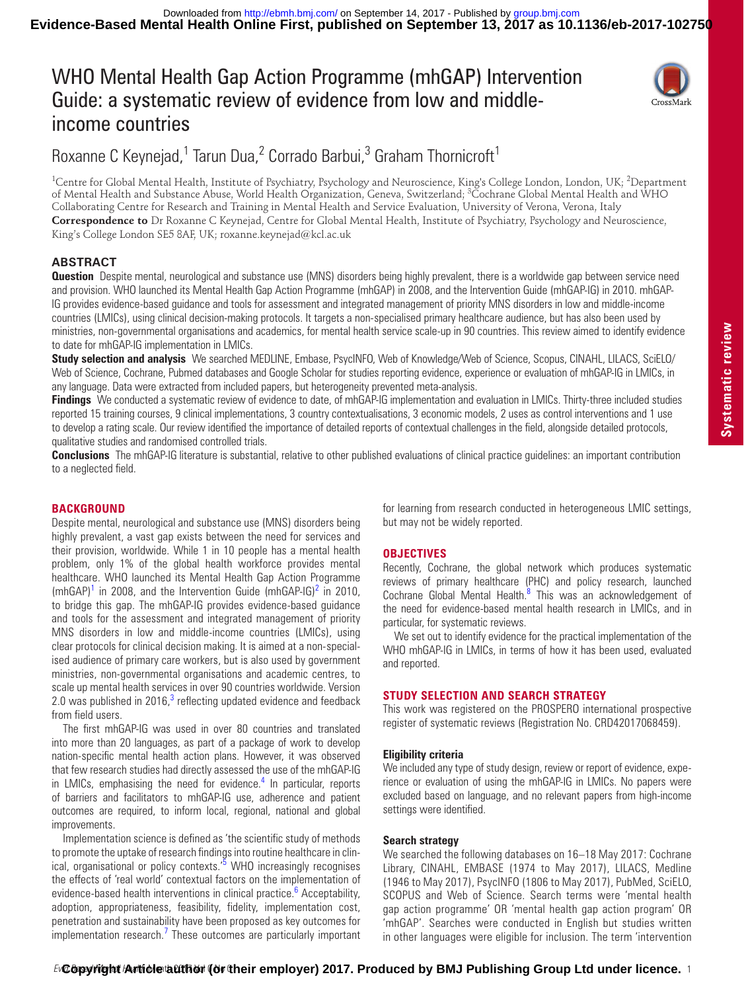# WHO Mental Health Gap Action Programme (mhGAP) Intervention Guide: a systematic review of evidence from low and middleincome countries



## Roxanne C Keynejad,<sup>1</sup> Tarun Dua,<sup>2</sup> Corrado Barbui,<sup>3</sup> Graham Thornicroft<sup>1</sup>

<sup>1</sup>Centre for Global Mental Health, Institute of Psychiatry, Psychology and Neuroscience, King's College London, London, UK; <sup>2</sup>Department of Mental Health and Substance Abuse, World Health Organization, Geneva, Switzerland; <sup>3</sup>Cochrane Global Mental Health and WHO Collaborating Centre for Research and Training in Mental Health and Service Evaluation, University of Verona, Verona, Italy **Correspondence to** Dr Roxanne C Keynejad, Centre for Global Mental Health, Institute of Psychiatry, Psychology and Neuroscience, King's College London SE5 8AF, UK; roxanne.keynejad@kcl.ac.uk

## **Abstract**

**Question** Despite mental, neurological and substance use (MNS) disorders being highly prevalent, there is a worldwide gap between service need and provision. WHO launched its Mental Health Gap Action Programme (mhGAP) in 2008, and the Intervention Guide (mhGAP-IG) in 2010. mhGAP-IG provides evidence-based guidance and tools for assessment and integrated management of priority MNS disorders in low and middle-income countries (LMICs), using clinical decision-making protocols. It targets a non-specialised primary healthcare audience, but has also been used by ministries, non-governmental organisations and academics, for mental health service scale-up in 90 countries. This review aimed to identify evidence to date for mhGAP-IG implementation in LMICs.

**Study selection and analysis** We searched MEDLINE, Embase, PsycINFO, Web of Knowledge/Web of Science, Scopus, CINAHL, LILACS, SciELO/ Web of Science, Cochrane, Pubmed databases and Google Scholar for studies reporting evidence, experience or evaluation of mhGAP-IG in LMICs, in any language. Data were extracted from included papers, but heterogeneity prevented meta-analysis.

**Findings** We conducted a systematic review of evidence to date, of mhGAP-IG implementation and evaluation in LMICs. Thirty-three included studies reported 15 training courses, 9 clinical implementations, 3 country contextualisations, 3 economic models, 2 uses as control interventions and 1 use to develop a rating scale. Our review identified the importance of detailed reports of contextual challenges in the field, alongside detailed protocols, qualitative studies and randomised controlled trials.

**Conclusions** The mhGAP-IG literature is substantial, relative to other published evaluations of clinical practice guidelines: an important contribution to a neglected field.

## **BACKGROUND**

Despite mental, neurological and substance use (MNS) disorders being highly prevalent, a vast gap exists between the need for services and their provision, worldwide. While 1 in 10 people has a mental health problem, only 1% of the global health workforce provides mental healthcare. WHO launched its Mental Health Gap Action Programme  $(mhGAP)^1$  $(mhGAP)^1$  in [2](#page-3-1)008, and the Intervention Guide  $(mhGAP-IG)^2$  in 2010, to bridge this gap. The mhGAP-IG provides evidence-based guidance and tools for the assessment and integrated management of priority MNS disorders in low and middle-income countries (LMICs), using clear protocols for clinical decision making. It is aimed at a non-specialised audience of primary care workers, but is also used by government ministries, non-governmental organisations and academic centres, to scale up mental health services in over 90 countries worldwide. Version 2.0 was published in 2016, $3$  reflecting updated evidence and feedback from field users.

The first mhGAP-IG was used in over 80 countries and translated into more than 20 languages, as part of a package of work to develop nation-specific mental health action plans. However, it was observed that few research studies had directly assessed the use of the mhGAP-IG in LMICs, emphasising the need for evidence.<sup>4</sup> In particular, reports of barriers and facilitators to mhGAP-IG use, adherence and patient outcomes are required, to inform local, regional, national and global improvements.

Implementation science is defined as 'the scientific study of methods to promote the uptake of research findings into routine healthcare in clin-ical, organisational or policy contexts.'<sup>[5](#page-3-4)</sup> WHO increasingly recognises the effects of 'real world' contextual factors on the implementation of evidence-based health interventions in clinical practice.<sup>[6](#page-3-5)</sup> Acceptability, adoption, appropriateness, feasibility, fidelity, implementation cost, penetration and sustainability have been proposed as key outcomes for implementation research.<sup>[7](#page-3-6)</sup> These outcomes are particularly important

for learning from research conducted in heterogeneous LMIC settings, but may not be widely reported.

## **Objectives**

Recently, Cochrane, the global network which produces systematic reviews of primary healthcare (PHC) and policy research, launched Cochrane Global Mental Health.<sup>[8](#page-3-7)</sup> This was an acknowledgement of the need for evidence-based mental health research in LMICs, and in particular, for systematic reviews.

We set out to identify evidence for the practical implementation of the WHO mhGAP-IG in LMICs, in terms of how it has been used, evaluated and reported.

### **Study selection and search strategy**

This work was registered on the PROSPERO international prospective register of systematic reviews (Registration No. CRD42017068459).

#### **Eligibility criteria**

We included any type of study design, review or report of evidence, experience or evaluation of using the mhGAP-IG in LMICs. No papers were excluded based on language, and no relevant papers from high-income settings were identified.

#### **Search strategy**

We searched the following databases on 16–18 May 2017: Cochrane Library, CINAHL, EMBASE (1974 to May 2017), LILACS, Medline (1946 to May 2017), PsycINFO (1806 to May 2017), PubMed, SciELO, SCOPUS and Web of Science. Search terms were 'mental health gap action programme' OR 'mental health gap action program' OR 'mhGAP'. Searches were conducted in English but studies written in other languages were eligible for inclusion. The term 'intervention

*E*vCopyright Article author (or their employer) 2017. Produced by BMJ Publishing Group Ltd under licence. 1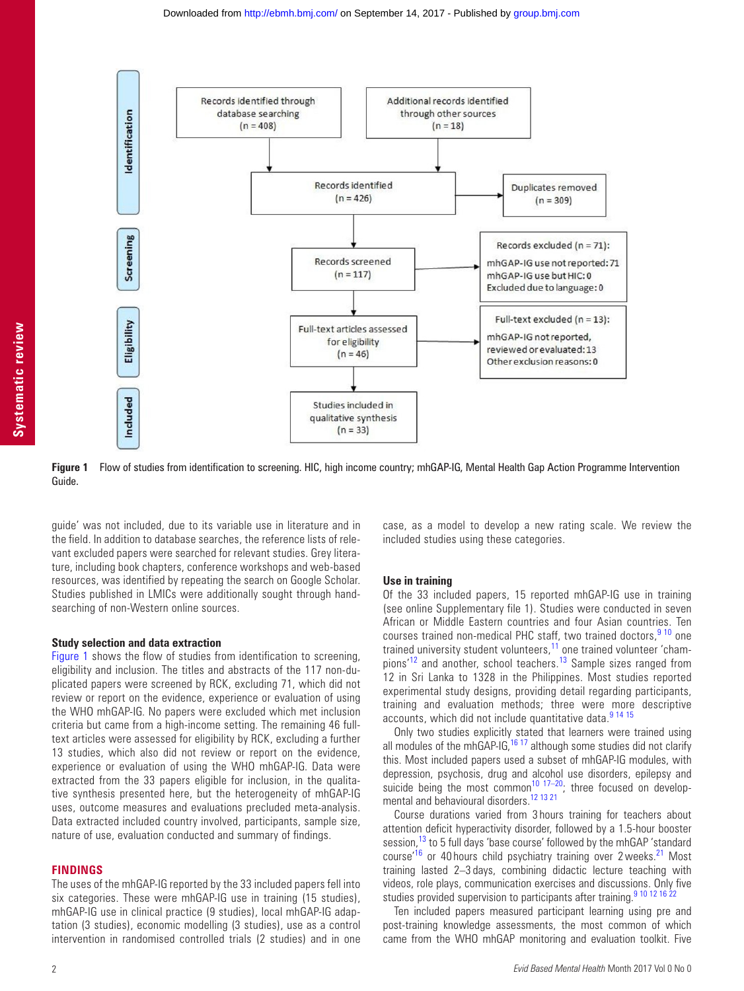



<span id="page-1-0"></span>**Figure 1** Flow of studies from identification to screening. HIC, high income country; mhGAP-IG, Mental Health Gap Action Programme Intervention Guide.

guide' was not included, due to its variable use in literature and in the field. In addition to database searches, the reference lists of relevant excluded papers were searched for relevant studies. Grey literature, including book chapters, conference workshops and web-based resources, was identified by repeating the search on Google Scholar. Studies published in LMICs were additionally sought through handsearching of non-Western online sources.

#### **Study selection and data extraction**

[Figure](#page-1-0) 1 shows the flow of studies from identification to screening, eligibility and inclusion. The titles and abstracts of the 117 non-duplicated papers were screened by RCK, excluding 71, which did not review or report on the evidence, experience or evaluation of using the WHO mhGAP-IG. No papers were excluded which met inclusion criteria but came from a high-income setting. The remaining 46 fulltext articles were assessed for eligibility by RCK, excluding a further 13 studies, which also did not review or report on the evidence, experience or evaluation of using the WHO mhGAP-IG. Data were extracted from the 33 papers eligible for inclusion, in the qualitative synthesis presented here, but the heterogeneity of mhGAP-IG uses, outcome measures and evaluations precluded meta-analysis. Data extracted included country involved, participants, sample size, nature of use, evaluation conducted and summary of findings.

#### **Findings**

The uses of the mhGAP-IG reported by the 33 included papers fell into six categories. These were mhGAP-IG use in training (15 studies), mhGAP-IG use in clinical practice (9 studies), local mhGAP-IG adaptation (3 studies), economic modelling (3 studies), use as a control intervention in randomised controlled trials (2 studies) and in one

case, as a model to develop a new rating scale. We review the included studies using these categories.

#### **Use in training**

Of the 33 included papers, 15 reported mhGAP-IG use in training (see online [Supplementary file 1](https://dx.doi.org/10.1136/eb-2017-102750)). Studies were conducted in seven African or Middle Eastern countries and four Asian countries. Ten courses trained non-medical PHC staff, two trained doctors,  $9^{10}$  one trained university student volunteers,<sup>11</sup> one trained volunteer 'champions'[12](#page-3-10) and another, school teachers.[13](#page-3-11) Sample sizes ranged from 12 in Sri Lanka to 1328 in the Philippines. Most studies reported experimental study designs, providing detail regarding participants, training and evaluation methods; three were more descriptive accounts, which did not include quantitative data.<sup>[9 14 15](#page-3-8)</sup>

Only two studies explicitly stated that learners were trained using all modules of the mhGAP-IG,  $16 \times 17$  although some studies did not clarify this. Most included papers used a subset of mhGAP-IG modules, with depression, psychosis, drug and alcohol use disorders, epilepsy and suicide being the most common<sup>10 17–20</sup>; three focused on develop-mental and behavioural disorders.<sup>[12 13 21](#page-3-10)</sup>

Course durations varied from 3 hours training for teachers about attention deficit hyperactivity disorder, followed by a 1.5-hour booster session,<sup>[13](#page-3-11)</sup> to 5 full days 'base course' followed by the mhGAP 'standard course'<sup>[16](#page-3-12)</sup> or 40 hours child psychiatry training over 2 weeks.<sup>21</sup> Most training lasted 2–3 days, combining didactic lecture teaching with videos, role plays, communication exercises and discussions. Only five studies provided supervision to participants after training.<sup>9 10 12 16</sup>

Ten included papers measured participant learning using pre and post-training knowledge assessments, the most common of which came from the WHO mhGAP monitoring and evaluation toolkit. Five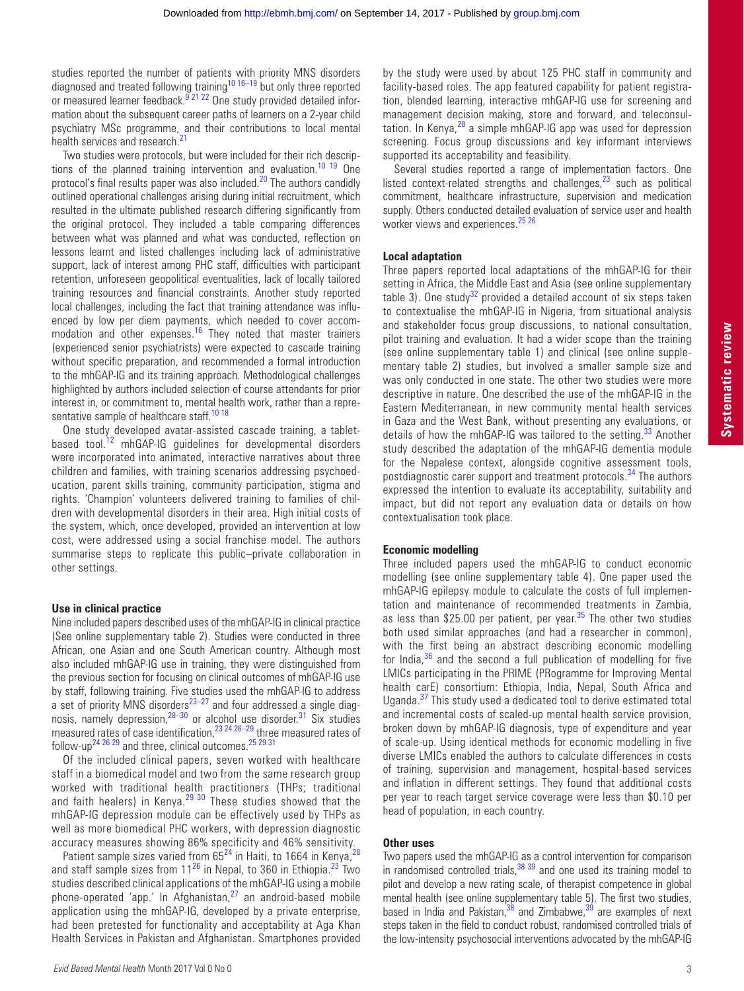studies reported the number of patients with priority MNS disorders diagnosed and treated following training<sup>10 16–19</sup> but only three reported or measured learner feedback.<sup>9 21 22</sup> One study provided detailed information about the subsequent career paths of learners on a 2-year child psychiatry MSc programme, and their contributions to local mental health services and research.<sup>[21](#page-3-14)</sup>

Two studies were protocols, but were included for their rich descrip-tions of the planned training intervention and evaluation.<sup>[10 19](#page-3-13)</sup> One protocol's final results paper was also included.<sup>[20](#page-3-15)</sup> The authors candidly outlined operational challenges arising during initial recruitment, which resulted in the ultimate published research differing significantly from the original protocol. They included a table comparing differences between what was planned and what was conducted, reflection on lessons learnt and listed challenges including lack of administrative support, lack of interest among PHC staff, difficulties with participant retention, unforeseen geopolitical eventualities, lack of locally tailored training resources and financial constraints. Another study reported local challenges, including the fact that training attendance was influenced by low per diem payments, which needed to cover accom-modation and other expenses.<sup>[16](#page-3-12)</sup> They noted that master trainers (experienced senior psychiatrists) were expected to cascade training without specific preparation, and recommended a formal introduction to the mhGAP-IG and its training approach. Methodological challenges highlighted by authors included selection of course attendants for prior interest in, or commitment to, mental health work, rather than a repre-sentative sample of healthcare staff.<sup>[10 18](#page-3-13)</sup>

One study developed avatar-assisted cascade training, a tablet-based tool.<sup>[12](#page-3-10)</sup> mhGAP-IG guidelines for developmental disorders were incorporated into animated, interactive narratives about three children and families, with training scenarios addressing psychoeducation, parent skills training, community participation, stigma and rights. 'Champion' volunteers delivered training to families of children with developmental disorders in their area. High initial costs of the system, which, once developed, provided an intervention at low cost, were addressed using a social franchise model. The authors summarise steps to replicate this public–private collaboration in other settings.

#### **Use in clinical practice**

Nine included papers described uses of the mhGAP-IG in clinical practice (See online [supplementary table 2\)](https://dx.doi.org/10.1136/eb-2017-102750). Studies were conducted in three African, one Asian and one South American country. Although most also included mhGAP-IG use in training, they were distinguished from the previous section for focusing on clinical outcomes of mhGAP-IG use by staff, following training. Five studies used the mhGAP-IG to address a set of priority MNS disorders<sup>23-27</sup> and four addressed a single diagnosis, namely depression, 28-30 or alcohol use disorder.<sup>31</sup> Six studies measured rates of case identification,<sup>[23 24 26–29](#page-3-16)</sup> three measured rates of follow-up<sup>24 26 29</sup> and three, clinical outcomes.<sup>25 29 31</sup>

Of the included clinical papers, seven worked with healthcare staff in a biomedical model and two from the same research group worked with traditional health practitioners (THPs; traditional and faith healers) in Kenya.<sup>29 30</sup> These studies showed that the mhGAP-IG depression module can be effectively used by THPs as well as more biomedical PHC workers, with depression diagnostic accuracy measures showing 86% specificity and 46% sensitivity.

Patient sample sizes varied from  $65^{24}$  $65^{24}$  $65^{24}$  in Haiti, to 1664 in Kenya, and staff sample sizes from  $11^{26}$  in Nepal, to 360 in Ethiopia.<sup>23</sup> Two studies described clinical applications of the mhGAP-IG using a mobile phone-operated 'app.' In Afghanistan, $^{27}$  $^{27}$  $^{27}$  an android-based mobile application using the mhGAP-IG, developed by a private enterprise, had been pretested for functionality and acceptability at Aga Khan Health Services in Pakistan and Afghanistan. Smartphones provided

by the study were used by about 125 PHC staff in community and facility-based roles. The app featured capability for patient registration, blended learning, interactive mhGAP-IG use for screening and management decision making, store and forward, and teleconsultation. In Kenya, $^{28}$  a simple mhGAP-IG app was used for depression screening. Focus group discussions and key informant interviews supported its acceptability and feasibility.

Several studies reported a range of implementation factors. One listed context-related strengths and challenges, $23$  such as political commitment, healthcare infrastructure, supervision and medication supply. Others conducted detailed evaluation of service user and health worker views and experiences.<sup>25</sup> 26

#### **Local adaptation**

Three papers reported local adaptations of the mhGAP-IG for their setting in Africa, the Middle East and Asia (see online [supplementary](https://dx.doi.org/10.1136/eb-2017-102750)  [table 3](https://dx.doi.org/10.1136/eb-2017-102750)). One study<sup>[32](#page-4-1)</sup> provided a detailed account of six steps taken to contextualise the mhGAP-IG in Nigeria, from situational analysis and stakeholder focus group discussions, to national consultation, pilot training and evaluation. It had a wider scope than the training (see online [supplementary table 1\)](https://dx.doi.org/10.1136/eb-2017-102750) and clinical (see online [supple](https://dx.doi.org/10.1136/eb-2017-102750)[mentary table 2\)](https://dx.doi.org/10.1136/eb-2017-102750) studies, but involved a smaller sample size and was only conducted in one state. The other two studies were more descriptive in nature. One described the use of the mhGAP-IG in the Eastern Mediterranean, in new community mental health services in Gaza and the West Bank, without presenting any evaluations, or details of how the mhGAP-IG was tailored to the setting.<sup>[33](#page-4-2)</sup> Another study described the adaptation of the mhGAP-IG dementia module for the Nepalese context, alongside cognitive assessment tools, postdiagnostic carer support and treatment protocols.<sup>[34](#page-4-3)</sup> The authors expressed the intention to evaluate its acceptability, suitability and impact, but did not report any evaluation data or details on how contextualisation took place.

#### **Economic modelling**

Three included papers used the mhGAP-IG to conduct economic modelling (see online [supplementary table 4\)](https://dx.doi.org/10.1136/eb-2017-102750). One paper used the mhGAP-IG epilepsy module to calculate the costs of full implementation and maintenance of recommended treatments in Zambia, as less than \$25.00 per patient, per year. $35$  The other two studies both used similar approaches (and had a researcher in common), with the first being an abstract describing economic modelling for India, $36$  and the second a full publication of modelling for five LMICs participating in the PRIME (PRogramme for Improving Mental health carE) consortium: Ethiopia, India, Nepal, South Africa and Uganda.[37](#page-4-6) This study used a dedicated tool to derive estimated total and incremental costs of scaled-up mental health service provision, broken down by mhGAP-IG diagnosis, type of expenditure and year of scale-up. Using identical methods for economic modelling in five diverse LMICs enabled the authors to calculate differences in costs of training, supervision and management, hospital-based services and inflation in different settings. They found that additional costs per year to reach target service coverage were less than \$0.10 per head of population, in each country.

### **Other uses**

Two papers used the mhGAP-IG as a control intervention for comparison in randomised controlled trials,  $38\frac{39}{9}$  and one used its training model to pilot and develop a new rating scale, of therapist competence in global mental health (see online [supplementary table 5](https://dx.doi.org/10.1136/eb-2017-102750)). The first two studies, based in India and Pakistan, $38$  and Zimbabwe, $39$  are examples of next steps taken in the field to conduct robust, randomised controlled trials of the low-intensity psychosocial interventions advocated by the mhGAP-IG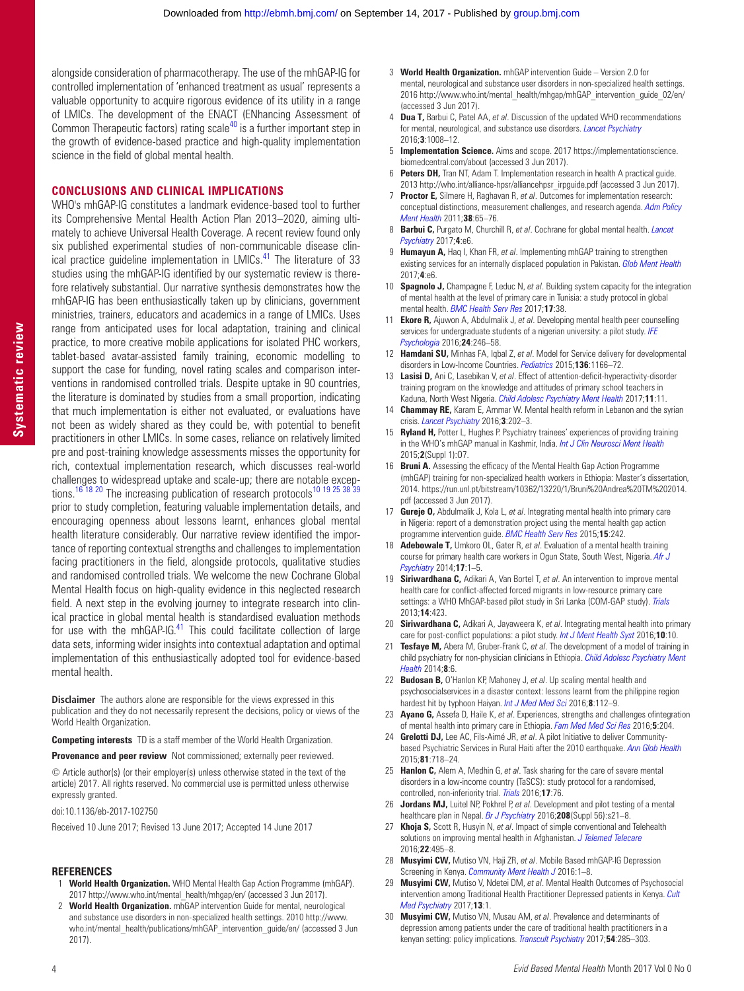alongside consideration of pharmacotherapy. The use of the mhGAP-IG for controlled implementation of 'enhanced treatment as usual' represents a valuable opportunity to acquire rigorous evidence of its utility in a range of LMICs. The development of the ENACT (ENhancing Assessment of Common Therapeutic factors) rating  $scale^{40}$  $scale^{40}$  $scale^{40}$  is a further important step in the growth of evidence-based practice and high-quality implementation science in the field of global mental health.

#### **Conclusions and clinical implications**

WHO's mhGAP-IG constitutes a landmark evidence-based tool to further its Comprehensive Mental Health Action Plan 2013–2020, aiming ultimately to achieve Universal Health Coverage. A recent review found only six published experimental studies of non-communicable disease clinical practice guideline implementation in LMICs.<sup>41</sup> The literature of 33 studies using the mhGAP-IG identified by our systematic review is therefore relatively substantial. Our narrative synthesis demonstrates how the mhGAP-IG has been enthusiastically taken up by clinicians, government ministries, trainers, educators and academics in a range of LMICs. Uses range from anticipated uses for local adaptation, training and clinical practice, to more creative mobile applications for isolated PHC workers, tablet-based avatar-assisted family training, economic modelling to support the case for funding, novel rating scales and comparison interventions in randomised controlled trials. Despite uptake in 90 countries, the literature is dominated by studies from a small proportion, indicating that much implementation is either not evaluated, or evaluations have not been as widely shared as they could be, with potential to benefit practitioners in other LMICs. In some cases, reliance on relatively limited pre and post-training knowledge assessments misses the opportunity for rich, contextual implementation research, which discusses real-world challenges to widespread uptake and scale-up; there are notable excep-tions.<sup>[16 18 20](#page-3-12)</sup> The increasing publication of research protocols<sup>10 19 25 38 39</sup> prior to study completion, featuring valuable implementation details, and encouraging openness about lessons learnt, enhances global mental health literature considerably. Our narrative review identified the importance of reporting contextual strengths and challenges to implementation facing practitioners in the field, alongside protocols, qualitative studies and randomised controlled trials. We welcome the new Cochrane Global Mental Health focus on high-quality evidence in this neglected research field. A next step in the evolving journey to integrate research into clinical practice in global mental health is standardised evaluation methods for use with the mhGAP-IG.<sup>41</sup> This could facilitate collection of large data sets, informing wider insights into contextual adaptation and optimal implementation of this enthusiastically adopted tool for evidence-based mental health.

**Disclaimer** The authors alone are responsible for the views expressed in this publication and they do not necessarily represent the decisions, policy or views of the World Health Organization.

**Competing interests** TD is a staff member of the World Health Organization.

**Provenance and peer review** Not commissioned; externally peer reviewed.

© Article author(s) (or their employer(s) unless otherwise stated in the text of the article) 2017. All rights reserved. No commercial use is permitted unless otherwise expressly granted.

doi:10.1136/eb-2017-102750

Received 10 June 2017; Revised 13 June 2017; Accepted 14 June 2017

#### **References**

- <span id="page-3-0"></span>1 **World Health Organization.** WHO Mental Health Gap Action Programme (mhGAP). 2017 [http://www.who.int/mental\\_health/mhgap/en/](http://www.who.int/mental_health/mhgap/en/) (accessed 3 Jun 2017).
- <span id="page-3-1"></span>2 **World Health Organization.** mhGAP intervention Guide for mental, neurological and substance use disorders in non-specialized health settings. 2010 [http://www.](http://www.who.int/mental_health/publications/mhGAP_intervention_guide/en/) [who.int/mental\\_health/publications/mhGAP\\_intervention\\_guide/en/](http://www.who.int/mental_health/publications/mhGAP_intervention_guide/en/) (accessed 3 Jun 2017).
- <span id="page-3-2"></span>3 **World Health Organization.** mhGAP intervention Guide – Version 2.0 for mental, neurological and substance user disorders in non-specialized health settings. 2016 [http://www.who.int/mental\\_health/mhgap/mhGAP\\_intervention\\_guide\\_02/en/](http://www.who.int/mental_health/mhgap/mhGAP_intervention_guide_02/en/) (accessed 3 Jun 2017).
- <span id="page-3-3"></span>4 **Dua T,** Barbui C, Patel AA, *et al*. Discussion of the updated WHO recommendations for mental, neurological, and substance use disorders. *[Lancet Psychiatry](http://dx.doi.org/10.1016/S2215-0366(16)30184-5)* 2016;**3**:1008–12.
- <span id="page-3-4"></span>5 **Implementation Science.** Aims and scope. 2017 [https://implementationscience.](https://implementationscience.biomedcentral.com/about) [biomedcentral.com/about](https://implementationscience.biomedcentral.com/about) (accessed 3 Jun 2017).
- <span id="page-3-5"></span>6 **Peters DH,** Tran NT, Adam T. Implementation research in health A practical guide. 2013 [http://who.int/alliance-hpsr/alliancehpsr\\_irpguide.pdf](http://who.int/alliance-hpsr/alliancehpsr_irpguide.pdf) (accessed 3 Jun 2017).
- <span id="page-3-6"></span>**Proctor E,** Silmere H, Raghavan R, *et al.* Outcomes for implementation research: conceptual distinctions, measurement challenges, and research agenda. *[Adm Policy](http://dx.doi.org/10.1007/s10488-010-0319-7)  [Ment Health](http://dx.doi.org/10.1007/s10488-010-0319-7)* 2011;**38**:65–76.
- <span id="page-3-7"></span>8 **Barbui C,** Purgato M, Churchill R, *et al*. Cochrane for global mental health. *[Lancet](http://dx.doi.org/10.1016/S2215-0366(17)30090-1)  [Psychiatry](http://dx.doi.org/10.1016/S2215-0366(17)30090-1)* 2017;**4**:e6.
- <span id="page-3-8"></span>9 **Humayun A,** Haq I, Khan FR, *et al*. Implementing mhGAP training to strengthen existing services for an internally displaced population in Pakistan. *[Glob Ment Health](http://dx.doi.org/10.1017/gmh.2017.1)* 2017;**4**:e6.
- <span id="page-3-13"></span>10 **Spagnolo J,** Champagne F, Leduc N, *et al*. Building system capacity for the integration of mental health at the level of primary care in Tunisia: a study protocol in global mental health. *[BMC Health Serv Res](http://dx.doi.org/10.1186/s12913-017-1992-y)* 2017;**17**:38.
- <span id="page-3-9"></span>11 **Ekore R,** Ajuwon A, Abdulmalik J, *et al*. Developing mental health peer counselling services for undergraduate students of a nigerian university: a pilot study. *IFE Psychologia* 2016;**24**:246–58.
- <span id="page-3-10"></span>12 **Hamdani SU,** Minhas FA, Iqbal Z, *et al*. Model for Service delivery for developmental disorders in Low-Income Countries. *[Pediatrics](http://dx.doi.org/10.1542/peds.2015-0861)* 2015;**136**:1166–72.
- <span id="page-3-11"></span>13 **Lasisi D,** Ani C, Lasebikan V, *et al*. Effect of attention-deficit-hyperactivity-disorder training program on the knowledge and attitudes of primary school teachers in Kaduna, North West Nigeria. *[Child Adolesc Psychiatry Ment Health](http://dx.doi.org/10.1186/s13034-017-0153-8)* 2017;**11**:11.
- 14 **Chammay RE,** Karam E, Ammar W. Mental health reform in Lebanon and the syrian crisis. *[Lancet Psychiatry](http://dx.doi.org/10.1016/S2215-0366(16)00055-9)* 2016;**3**:202–3.
- 15 **Ryland H,** Potter L, Hughes P. Psychiatry trainees' experiences of providing training in the WHO's mhGAP manual in Kashmir, India. *Int J Clin Neurosci Ment Health* 2015;**2**(Suppl 1):O7.
- <span id="page-3-12"></span>16 **Bruni A.** Assessing the efficacy of the Mental Health Gap Action Programme (mhGAP) training for non-specialized health workers in Ethiopia: Master's dissertation, 2014. [https://run.unl.pt/bitstream/10362/13220/1/Bruni%20Andrea%20TM%202014.](https://run.unl.pt/bitstream/10362/13220/1/Bruni%20Andrea%20TM%202014.pdf) [pdf](https://run.unl.pt/bitstream/10362/13220/1/Bruni%20Andrea%20TM%202014.pdf) (accessed 3 Jun 2017).
- 17 **Gureje O,** Abdulmalik J, Kola L, *et al*. Integrating mental health into primary care in Nigeria: report of a demonstration project using the mental health gap action programme intervention guide. *[BMC Health Serv Res](http://dx.doi.org/10.1186/s12913-015-0911-3)* 2015;**15**:242.
- 18 **Adebowale T,** Umkoro OL, Gater R, *et al*. Evaluation of a mental health training course for primary health care workers in Ogun State, South West, Nigeria. *Afr J Psychiatry* 2014;**17**:1–5.
- 19 **Siriwardhana C,** Adikari A, Van Bortel T, *et al*. An intervention to improve mental health care for conflict-affected forced migrants in low-resource primary care settings: a WHO MhGAP-based pilot study in Sri Lanka (COM-GAP study). *[Trials](http://dx.doi.org/10.1186/1745-6215-14-423)* 2013;**14**:423.
- <span id="page-3-15"></span>20 **Siriwardhana C,** Adikari A, Jayaweera K, *et al*. Integrating mental health into primary care for post-conflict populations: a pilot study. *[Int J Ment Health Syst](http://dx.doi.org/10.1186/s13033-016-0046-x)* 2016;**10**:10.
- <span id="page-3-14"></span>**Tesfaye M,** Abera M, Gruber-Frank C, et al. The development of a model of training in child psychiatry for non-physician clinicians in Ethiopia. *[Child Adolesc Psychiatry Ment](http://dx.doi.org/10.1186/1753-2000-8-6)  [Health](http://dx.doi.org/10.1186/1753-2000-8-6)* 2014;**8**:6.
- 22 **Budosan B,** O'Hanlon KP, Mahoney J, *et al*. Up scaling mental health and psychosocialservices in a disaster context: lessons learnt from the philippine region hardest hit by typhoon Haiyan. *Int J Med Med Sci* 2016;**8**:112–9.
- <span id="page-3-16"></span>23 **Ayano G,** Assefa D, Haile K, *et al*. Experiences, strengths and challenges ofintegration of mental health into primary care in Ethiopia. *Fam Med Med Sci Res* 2016;**5**:204.
- <span id="page-3-18"></span>24 **Grelotti DJ,** Lee AC, Fils-Aimé JR, *et al*. A pilot Initiative to deliver Communitybased Psychiatric Services in Rural Haiti after the 2010 earthquake. *[Ann Glob Health](http://dx.doi.org/10.1016/j.aogh.2015.08.028)* 2015;**81**:718–24.
- <span id="page-3-19"></span>25 **Hanlon C,** Alem A, Medhin G, *et al*. Task sharing for the care of severe mental disorders in a low-income country (TaSCS): study protocol for a randomised, controlled, non-inferiority trial. *[Trials](http://dx.doi.org/10.1186/s13063-016-1191-x)* 2016;**17**:76.
- <span id="page-3-21"></span>26 **Jordans MJ,** Luitel NP, Pokhrel P, *et al*. Development and pilot testing of a mental healthcare plan in Nepal. *[Br J Psychiatry](http://dx.doi.org/10.1192/bjp.bp.114.153718)* 2016;**208**(Suppl 56):s21–8.
- <span id="page-3-22"></span>27 **Khoja S,** Scott R, Husyin N, *et al*. Impact of simple conventional and Telehealth solutions on improving mental health in Afghanistan. *[J Telemed Telecare](http://dx.doi.org/10.1177/1357633X16674631)* 2016;**22**:495–8.
- <span id="page-3-17"></span>28 **Musyimi CW,** Mutiso VN, Haji ZR, *et al*. Mobile Based mhGAP-IG Depression Screening in Kenya. *[Community Ment Health J](http://dx.doi.org/10.1007/s10597-016-0072-9)* 2016:1–8.
- <span id="page-3-20"></span>29 **Musyimi CW,** Mutiso V, Ndetei DM, *et al*. Mental Health Outcomes of Psychosocial intervention among Traditional Health Practitioner Depressed patients in Kenya. *[Cult](http://dx.doi.org/10.1007/s11013-017-9527-x)  [Med Psychiatry](http://dx.doi.org/10.1007/s11013-017-9527-x)* 2017;**13**:1.
- 30 **Musyimi CW,** Mutiso VN, Musau AM, *et al*. Prevalence and determinants of depression among patients under the care of traditional health practitioners in a kenyan setting: policy implications. *[Transcult Psychiatry](http://dx.doi.org/10.1177/1363461517705590)* 2017;**54**:285–303.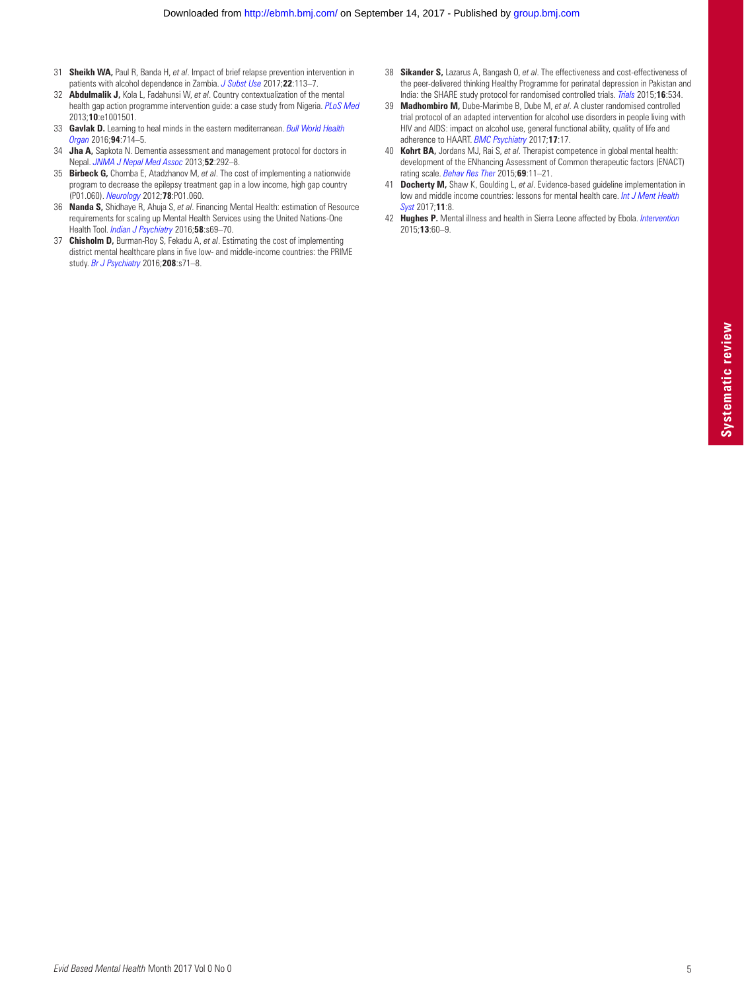- <span id="page-4-0"></span>31 **Sheikh WA,** Paul R, Banda H, *et al*. Impact of brief relapse prevention intervention in patients with alcohol dependence in Zambia. *[J Subst Use](http://dx.doi.org/10.3109/14659891.2015.1090494)* 2017;**22**:113–7.
- <span id="page-4-1"></span>32 **Abdulmalik J,** Kola L, Fadahunsi W, *et al*. Country contextualization of the mental health gap action programme intervention guide: a case study from Nigeria. *[PLoS Med](http://dx.doi.org/10.1371/journal.pmed.1001501)* 2013;**10**:e1001501.
- <span id="page-4-2"></span>33 **Gavlak D.** Learning to heal minds in the eastern mediterranean. *[Bull World Health](http://dx.doi.org/10.2471/BLT.16.021016)  [Organ](http://dx.doi.org/10.2471/BLT.16.021016)* 2016;**94**:714–5.
- <span id="page-4-3"></span>34 **Jha A,** Sapkota N. Dementia assessment and management protocol for doctors in Nepal. *JNMA J Nepal Med Assoc* 2013;**52**:292–8.
- <span id="page-4-4"></span>35 **Birbeck G,** Chomba E, Atadzhanov M, *et al*. The cost of implementing a nationwide program to decrease the epilepsy treatment gap in a low income, high gap country (P01.060). *[Neurology](http://dx.doi.org/10.1212/WNL.78.1_MeetingAbstracts.P01.060)* 2012;**78**:P01.060.
- <span id="page-4-5"></span>36 **Nanda S,** Shidhaye R, Ahuja S, *et al*. Financing Mental Health: estimation of Resource requirements for scaling up Mental Health Services using the United Nations-One Health Tool. *Indian J Psychiatry* 2016;**58**:s69–70.
- <span id="page-4-6"></span>37 **Chisholm D,** Burman-Roy S, Fekadu A, *et al*. Estimating the cost of implementing district mental healthcare plans in five low- and middle-income countries: the PRIME study. *[Br J Psychiatry](http://dx.doi.org/10.1192/bjp.bp.114.153866)* 2016;**208**:s71–8.
- <span id="page-4-7"></span>38 **Sikander S,** Lazarus A, Bangash O, *et al*. The effectiveness and cost-effectiveness of the peer-delivered thinking Healthy Programme for perinatal depression in Pakistan and India: the SHARE study protocol for randomised controlled trials. *[Trials](http://dx.doi.org/10.1186/s13063-015-1063-9)* 2015;**16**:534.
- <span id="page-4-8"></span>39 **Madhombiro M,** Dube-Marimbe B, Dube M, *et al*. A cluster randomised controlled trial protocol of an adapted intervention for alcohol use disorders in people living with HIV and AIDS: impact on alcohol use, general functional ability, quality of life and adherence to HAART. *[BMC Psychiatry](http://dx.doi.org/10.1186/s12888-017-1208-3)* 2017;**17**:17.
- <span id="page-4-9"></span>40 **Kohrt BA,** Jordans MJ, Rai S, *et al*. Therapist competence in global mental health: development of the ENhancing Assessment of Common therapeutic factors (ENACT) rating scale. *[Behav Res Ther](http://dx.doi.org/10.1016/j.brat.2015.03.009)* 2015;**69**:11–21.
- <span id="page-4-10"></span>41 **Docherty M,** Shaw K, Goulding L, *et al*. Evidence-based guideline implementation in low and middle income countries: lessons for mental health care. *[Int J Ment Health](http://dx.doi.org/10.1186/s13033-016-0115-1)  [Syst](http://dx.doi.org/10.1186/s13033-016-0115-1)* 2017;**11**:8.
- 42 **Hughes P.** Mental illness and health in Sierra Leone affected by Ebola. *[Intervention](http://dx.doi.org/10.1097/WTF.0000000000000082)* 2015;**13**:60–9.